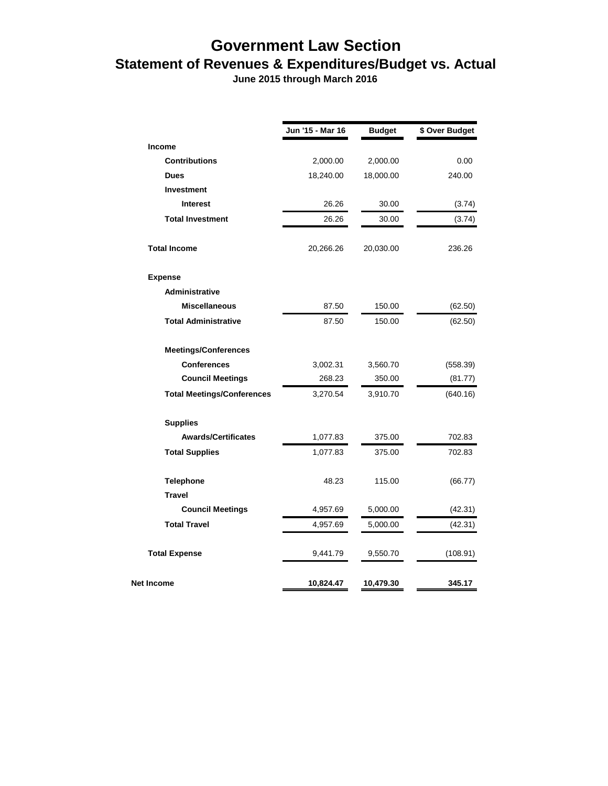## **Government Law Section Statement of Revenues & Expenditures/Budget vs. Actual**

 **June 2015 through March 2016**

|                                   | Jun '15 - Mar 16 | <b>Budget</b> | \$ Over Budget |
|-----------------------------------|------------------|---------------|----------------|
| <b>Income</b>                     |                  |               |                |
| <b>Contributions</b>              | 2,000.00         | 2,000.00      | 0.00           |
| <b>Dues</b>                       | 18,240.00        | 18,000.00     | 240.00         |
| Investment                        |                  |               |                |
| <b>Interest</b>                   | 26.26            | 30.00         | (3.74)         |
| <b>Total Investment</b>           | 26.26            | 30.00         | (3.74)         |
| <b>Total Income</b>               | 20,266.26        | 20,030.00     | 236.26         |
| <b>Expense</b>                    |                  |               |                |
| <b>Administrative</b>             |                  |               |                |
| <b>Miscellaneous</b>              | 87.50            | 150.00        | (62.50)        |
| <b>Total Administrative</b>       | 87.50            | 150.00        | (62.50)        |
| <b>Meetings/Conferences</b>       |                  |               |                |
| <b>Conferences</b>                | 3,002.31         | 3,560.70      | (558.39)       |
| <b>Council Meetings</b>           | 268.23           | 350.00        | (81.77)        |
| <b>Total Meetings/Conferences</b> | 3,270.54         | 3,910.70      | (640.16)       |
| <b>Supplies</b>                   |                  |               |                |
| <b>Awards/Certificates</b>        | 1,077.83         | 375.00        | 702.83         |
| <b>Total Supplies</b>             | 1,077.83         | 375.00        | 702.83         |
| <b>Telephone</b>                  | 48.23            | 115.00        | (66.77)        |
| <b>Travel</b>                     |                  |               |                |
| <b>Council Meetings</b>           | 4,957.69         | 5,000.00      | (42.31)        |
| <b>Total Travel</b>               | 4,957.69         | 5,000.00      | (42.31)        |
| <b>Total Expense</b>              | 9,441.79         | 9,550.70      | (108.91)       |
| Net Income                        | 10,824.47        | 10,479.30     | 345.17         |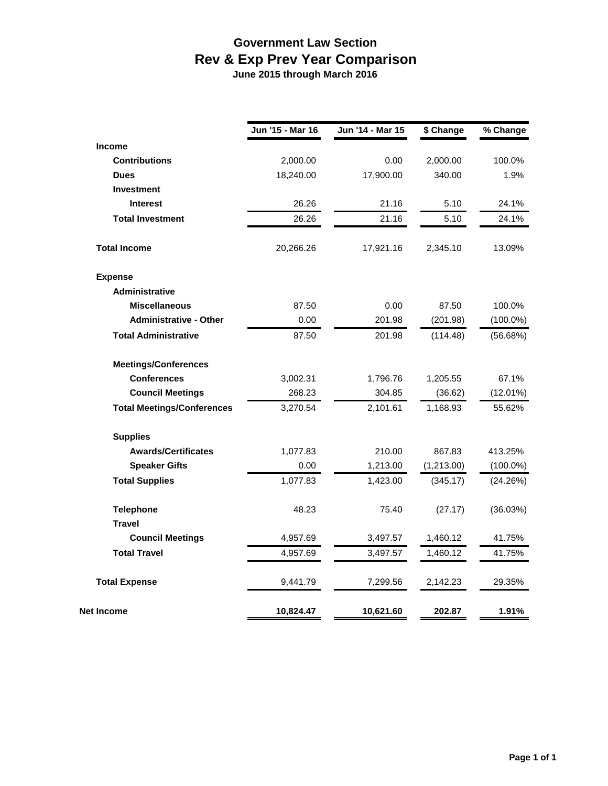## **Government Law Section Rev & Exp Prev Year Comparison June 2015 through March 2016**

|                                   | Jun '15 - Mar 16 | Jun '14 - Mar 15 | \$ Change  | % Change    |
|-----------------------------------|------------------|------------------|------------|-------------|
| <b>Income</b>                     |                  |                  |            |             |
| <b>Contributions</b>              | 2,000.00         | 0.00             | 2,000.00   | 100.0%      |
| <b>Dues</b>                       | 18,240.00        | 17,900.00        | 340.00     | 1.9%        |
| <b>Investment</b>                 |                  |                  |            |             |
| <b>Interest</b>                   | 26.26            | 21.16            | 5.10       | 24.1%       |
| <b>Total Investment</b>           | 26.26            | 21.16            | 5.10       | 24.1%       |
| <b>Total Income</b>               | 20,266.26        | 17,921.16        | 2,345.10   | 13.09%      |
| <b>Expense</b>                    |                  |                  |            |             |
| <b>Administrative</b>             |                  |                  |            |             |
| <b>Miscellaneous</b>              | 87.50            | 0.00             | 87.50      | 100.0%      |
| <b>Administrative - Other</b>     | 0.00             | 201.98           | (201.98)   | $(100.0\%)$ |
| <b>Total Administrative</b>       | 87.50            | 201.98           | (114.48)   | (56.68%)    |
| <b>Meetings/Conferences</b>       |                  |                  |            |             |
| <b>Conferences</b>                | 3,002.31         | 1,796.76         | 1,205.55   | 67.1%       |
| <b>Council Meetings</b>           | 268.23           | 304.85           | (36.62)    | $(12.01\%)$ |
| <b>Total Meetings/Conferences</b> | 3,270.54         | 2,101.61         | 1,168.93   | 55.62%      |
| <b>Supplies</b>                   |                  |                  |            |             |
| <b>Awards/Certificates</b>        | 1,077.83         | 210.00           | 867.83     | 413.25%     |
| <b>Speaker Gifts</b>              | 0.00             | 1,213.00         | (1,213.00) | $(100.0\%)$ |
| <b>Total Supplies</b>             | 1,077.83         | 1,423.00         | (345.17)   | (24.26%)    |
| <b>Telephone</b>                  | 48.23            | 75.40            | (27.17)    | (36.03%)    |
| <b>Travel</b>                     |                  |                  |            |             |
| <b>Council Meetings</b>           | 4,957.69         | 3,497.57         | 1,460.12   | 41.75%      |
| <b>Total Travel</b>               | 4,957.69         | 3,497.57         | 1,460.12   | 41.75%      |
| <b>Total Expense</b>              | 9,441.79         | 7,299.56         | 2,142.23   | 29.35%      |
| Net Income                        | 10,824.47        | 10,621.60        | 202.87     | 1.91%       |